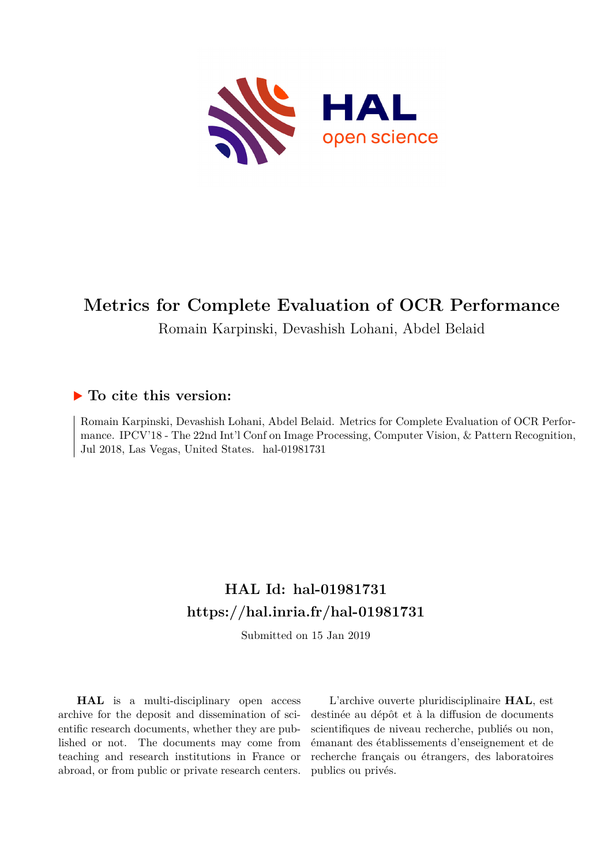

# **Metrics for Complete Evaluation of OCR Performance**

Romain Karpinski, Devashish Lohani, Abdel Belaid

## **To cite this version:**

Romain Karpinski, Devashish Lohani, Abdel Belaid. Metrics for Complete Evaluation of OCR Performance. IPCV'18 - The 22nd Int'l Conf on Image Processing, Computer Vision, & Pattern Recognition, Jul 2018, Las Vegas, United States. hal-01981731

# **HAL Id: hal-01981731 <https://hal.inria.fr/hal-01981731>**

Submitted on 15 Jan 2019

**HAL** is a multi-disciplinary open access archive for the deposit and dissemination of scientific research documents, whether they are published or not. The documents may come from teaching and research institutions in France or abroad, or from public or private research centers.

L'archive ouverte pluridisciplinaire **HAL**, est destinée au dépôt et à la diffusion de documents scientifiques de niveau recherche, publiés ou non, émanant des établissements d'enseignement et de recherche français ou étrangers, des laboratoires publics ou privés.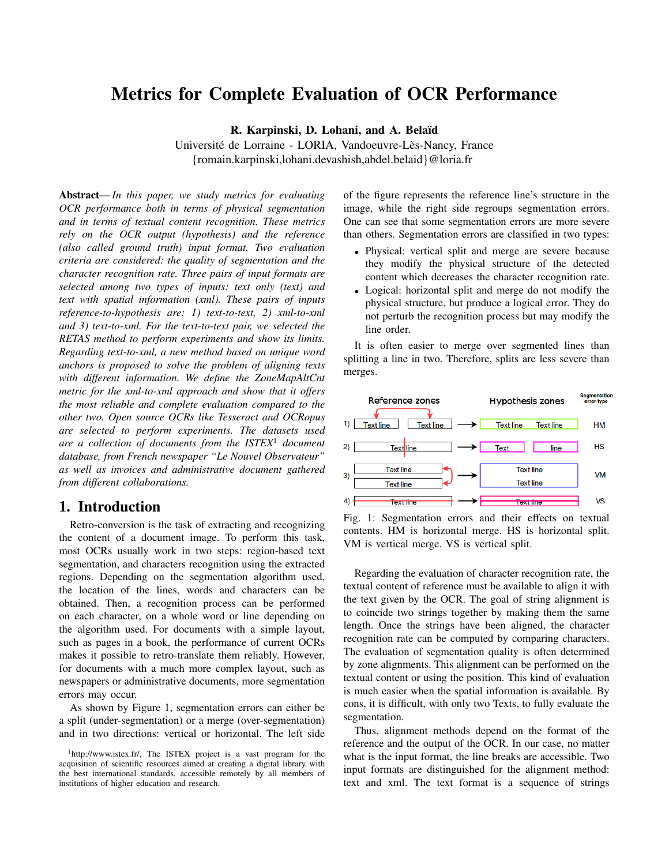## Metrics for Complete Evaluation of OCR Performance

R. Karpinski, D. Lohani, and A. Belaïd

Université de Lorraine - LORIA, Vandoeuvre-Lès-Nancy, France {romain.karpinski,lohani.devashish,abdel.belaid}@loria.fr

Abstract—*In this paper, we study metrics for evaluating OCR performance both in terms of physical segmentation and in terms of textual content recognition. These metrics rely on the OCR output (hypothesis) and the reference (also called ground truth) input format. Two evaluation criteria are considered: the quality of segmentation and the character recognition rate. Three pairs of input formats are selected among two types of inputs: text only (text) and text with spatial information (xml). These pairs of inputs reference-to-hypothesis are: 1) text-to-text, 2) xml-to-xml and 3) text-to-xml. For the text-to-text pair, we selected the RETAS method to perform experiments and show its limits. Regarding text-to-xml, a new method based on unique word anchors is proposed to solve the problem of aligning texts with different information. We define the ZoneMapAltCnt metric for the xml-to-xml approach and show that it offers the most reliable and complete evaluation compared to the other two. Open source OCRs like Tesseract and OCRopus are selected to perform experiments. The datasets used are a collection of documents from the ISTEX*<sup>1</sup> *document database, from French newspaper "Le Nouvel Observateur" as well as invoices and administrative document gathered from different collaborations.*

## 1. Introduction

Retro-conversion is the task of extracting and recognizing the content of a document image. To perform this task, most OCRs usually work in two steps: region-based text segmentation, and characters recognition using the extracted regions. Depending on the segmentation algorithm used, the location of the lines, words and characters can be obtained. Then, a recognition process can be performed on each character, on a whole word or line depending on the algorithm used. For documents with a simple layout, such as pages in a book, the performance of current OCRs makes it possible to retro-translate them reliably. However, for documents with a much more complex layout, such as newspapers or administrative documents, more segmentation errors may occur.

As shown by Figure 1, segmentation errors can either be a split (under-segmentation) or a merge (over-segmentation) and in two directions: vertical or horizontal. The left side of the figure represents the reference line's structure in the image, while the right side regroups segmentation errors. One can see that some segmentation errors are more severe than others. Segmentation errors are classified in two types:

- Physical: vertical split and merge are severe because they modify the physical structure of the detected content which decreases the character recognition rate.
- Logical: horizontal split and merge do not modify the physical structure, but produce a logical error. They do not perturb the recognition process but may modify the line order.

It is often easier to merge over segmented lines than splitting a line in two. Therefore, splits are less severe than merges.



Fig. 1: Segmentation errors and their effects on textual contents. HM is horizontal merge. HS is horizontal split. VM is vertical merge. VS is vertical split.

Regarding the evaluation of character recognition rate, the textual content of reference must be available to align it with the text given by the OCR. The goal of string alignment is to coincide two strings together by making them the same length. Once the strings have been aligned, the character recognition rate can be computed by comparing characters. The evaluation of segmentation quality is often determined by zone alignments. This alignment can be performed on the textual content or using the position. This kind of evaluation is much easier when the spatial information is available. By cons, it is difficult, with only two Texts, to fully evaluate the segmentation.

Thus, alignment methods depend on the format of the reference and the output of the OCR. In our case, no matter what is the input format, the line breaks are accessible. Two input formats are distinguished for the alignment method: text and xml. The text format is a sequence of strings

<sup>1</sup>http://www.istex.fr/, The ISTEX project is a vast program for the acquisition of scientific resources aimed at creating a digital library with the best international standards, accessible remotely by all members of institutions of higher education and research.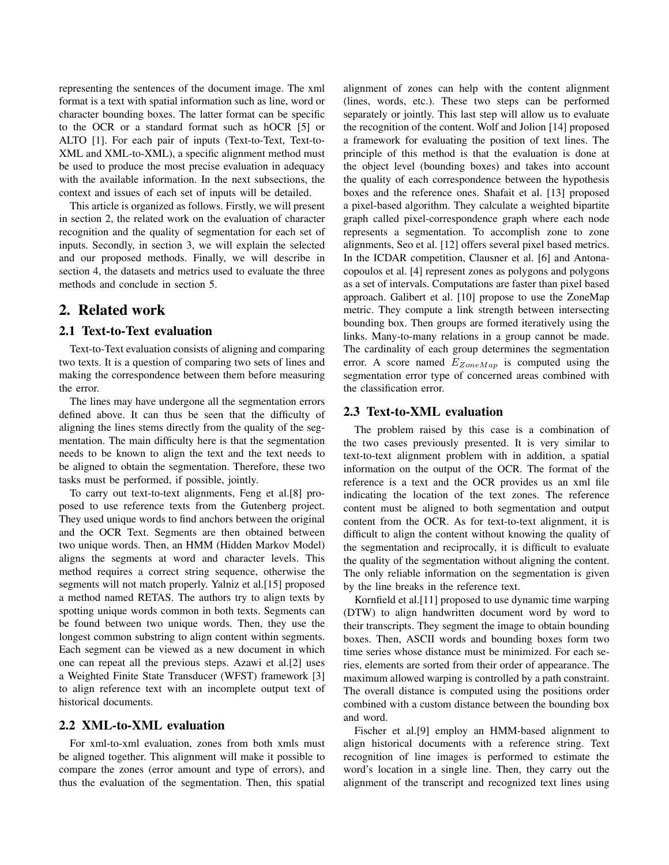representing the sentences of the document image. The xml format is a text with spatial information such as line, word or character bounding boxes. The latter format can be specific to the OCR or a standard format such as hOCR [5] or ALTO [1]. For each pair of inputs (Text-to-Text, Text-to-XML and XML-to-XML), a specific alignment method must be used to produce the most precise evaluation in adequacy with the available information. In the next subsections, the context and issues of each set of inputs will be detailed.

This article is organized as follows. Firstly, we will present in section 2, the related work on the evaluation of character recognition and the quality of segmentation for each set of inputs. Secondly, in section 3, we will explain the selected and our proposed methods. Finally, we will describe in section 4, the datasets and metrics used to evaluate the three methods and conclude in section 5.

## 2. Related work

#### 2.1 Text-to-Text evaluation

Text-to-Text evaluation consists of aligning and comparing two texts. It is a question of comparing two sets of lines and making the correspondence between them before measuring the error.

The lines may have undergone all the segmentation errors defined above. It can thus be seen that the difficulty of aligning the lines stems directly from the quality of the segmentation. The main difficulty here is that the segmentation needs to be known to align the text and the text needs to be aligned to obtain the segmentation. Therefore, these two tasks must be performed, if possible, jointly.

To carry out text-to-text alignments, Feng et al.[8] proposed to use reference texts from the Gutenberg project. They used unique words to find anchors between the original and the OCR Text. Segments are then obtained between two unique words. Then, an HMM (Hidden Markov Model) aligns the segments at word and character levels. This method requires a correct string sequence, otherwise the segments will not match properly. Yalniz et al.[15] proposed a method named RETAS. The authors try to align texts by spotting unique words common in both texts. Segments can be found between two unique words. Then, they use the longest common substring to align content within segments. Each segment can be viewed as a new document in which one can repeat all the previous steps. Azawi et al.[2] uses a Weighted Finite State Transducer (WFST) framework [3] to align reference text with an incomplete output text of historical documents.

#### 2.2 XML-to-XML evaluation

For xml-to-xml evaluation, zones from both xmls must be aligned together. This alignment will make it possible to compare the zones (error amount and type of errors), and thus the evaluation of the segmentation. Then, this spatial alignment of zones can help with the content alignment (lines, words, etc.). These two steps can be performed separately or jointly. This last step will allow us to evaluate the recognition of the content. Wolf and Jolion [14] proposed a framework for evaluating the position of text lines. The principle of this method is that the evaluation is done at the object level (bounding boxes) and takes into account the quality of each correspondence between the hypothesis boxes and the reference ones. Shafait et al. [13] proposed a pixel-based algorithm. They calculate a weighted bipartite graph called pixel-correspondence graph where each node represents a segmentation. To accomplish zone to zone alignments, Seo et al. [12] offers several pixel based metrics. In the ICDAR competition, Clausner et al. [6] and Antonacopoulos et al. [4] represent zones as polygons and polygons as a set of intervals. Computations are faster than pixel based approach. Galibert et al. [10] propose to use the ZoneMap metric. They compute a link strength between intersecting bounding box. Then groups are formed iteratively using the links. Many-to-many relations in a group cannot be made. The cardinality of each group determines the segmentation error. A score named  $E_{ZoneMap}$  is computed using the segmentation error type of concerned areas combined with the classification error.

#### 2.3 Text-to-XML evaluation

The problem raised by this case is a combination of the two cases previously presented. It is very similar to text-to-text alignment problem with in addition, a spatial information on the output of the OCR. The format of the reference is a text and the OCR provides us an xml file indicating the location of the text zones. The reference content must be aligned to both segmentation and output content from the OCR. As for text-to-text alignment, it is difficult to align the content without knowing the quality of the segmentation and reciprocally, it is difficult to evaluate the quality of the segmentation without aligning the content. The only reliable information on the segmentation is given by the line breaks in the reference text.

Kornfield et al.[11] proposed to use dynamic time warping (DTW) to align handwritten document word by word to their transcripts. They segment the image to obtain bounding boxes. Then, ASCII words and bounding boxes form two time series whose distance must be minimized. For each series, elements are sorted from their order of appearance. The maximum allowed warping is controlled by a path constraint. The overall distance is computed using the positions order combined with a custom distance between the bounding box and word.

Fischer et al.[9] employ an HMM-based alignment to align historical documents with a reference string. Text recognition of line images is performed to estimate the word's location in a single line. Then, they carry out the alignment of the transcript and recognized text lines using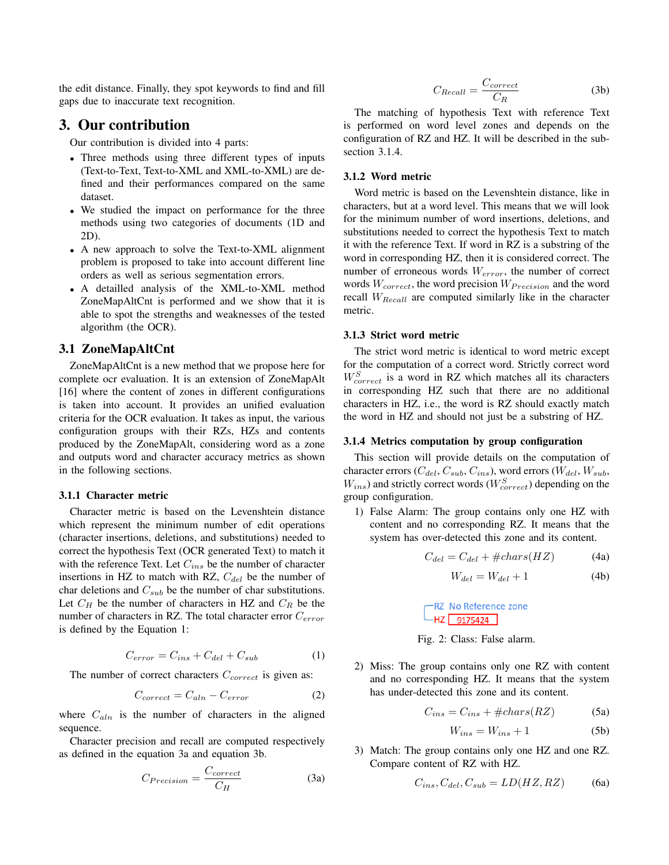the edit distance. Finally, they spot keywords to find and fill gaps due to inaccurate text recognition.

## 3. Our contribution

Our contribution is divided into 4 parts:

- Three methods using three different types of inputs (Text-to-Text, Text-to-XML and XML-to-XML) are defined and their performances compared on the same dataset.
- We studied the impact on performance for the three methods using two categories of documents (1D and 2D).
- A new approach to solve the Text-to-XML alignment problem is proposed to take into account different line orders as well as serious segmentation errors.
- A detailled analysis of the XML-to-XML method ZoneMapAltCnt is performed and we show that it is able to spot the strengths and weaknesses of the tested algorithm (the OCR).

### 3.1 ZoneMapAltCnt

ZoneMapAltCnt is a new method that we propose here for complete ocr evaluation. It is an extension of ZoneMapAlt [16] where the content of zones in different configurations is taken into account. It provides an unified evaluation criteria for the OCR evaluation. It takes as input, the various configuration groups with their RZs, HZs and contents produced by the ZoneMapAlt, considering word as a zone and outputs word and character accuracy metrics as shown in the following sections.

#### 3.1.1 Character metric

Character metric is based on the Levenshtein distance which represent the minimum number of edit operations (character insertions, deletions, and substitutions) needed to correct the hypothesis Text (OCR generated Text) to match it with the reference Text. Let  $C_{ins}$  be the number of character insertions in HZ to match with RZ,  $C_{del}$  be the number of char deletions and  $C_{sub}$  be the number of char substitutions. Let  $C_H$  be the number of characters in HZ and  $C_R$  be the number of characters in RZ. The total character error  $C_{error}$ is defined by the Equation 1:

$$
C_{error} = C_{ins} + C_{del} + C_{sub}
$$
 (1)

The number of correct characters  $C_{correct}$  is given as:

$$
C_{correct} = C_{aln} - C_{error}
$$
 (2)

where  $C_{aln}$  is the number of characters in the aligned sequence.

Character precision and recall are computed respectively as defined in the equation 3a and equation 3b.

$$
C_{Precision} = \frac{C_{correct}}{C_H}
$$
 (3a)

$$
C_{Recall} = \frac{C_{correct}}{C_R}
$$
 (3b)

The matching of hypothesis Text with reference Text is performed on word level zones and depends on the configuration of RZ and HZ. It will be described in the subsection 3.1.4.

#### 3.1.2 Word metric

Word metric is based on the Levenshtein distance, like in characters, but at a word level. This means that we will look for the minimum number of word insertions, deletions, and substitutions needed to correct the hypothesis Text to match it with the reference Text. If word in RZ is a substring of the word in corresponding HZ, then it is considered correct. The number of erroneous words  $W_{error}$ , the number of correct words  $W_{correct}$ , the word precision  $W_{Precision}$  and the word recall  $W_{Recall}$  are computed similarly like in the character metric.

#### 3.1.3 Strict word metric

The strict word metric is identical to word metric except for the computation of a correct word. Strictly correct word  $W_{correct}^{S}$  is a word in RZ which matches all its characters in corresponding HZ such that there are no additional characters in HZ, i.e., the word is RZ should exactly match the word in HZ and should not just be a substring of HZ.

#### 3.1.4 Metrics computation by group configuration

This section will provide details on the computation of character errors ( $C_{del}, C_{sub}, C_{ins}$ ), word errors ( $W_{del}, W_{sub}$ ,  $W_{ins}$ ) and strictly correct words ( $W_{correct}^{S}$ ) depending on the group configuration.

1) False Alarm: The group contains only one HZ with content and no corresponding RZ. It means that the system has over-detected this zone and its content.

$$
C_{del} = C_{del} + \#chars(HZ)
$$
 (4a)

$$
W_{del} = W_{del} + 1 \tag{4b}
$$

RZ No Reference zone HZ 9175424

Fig. 2: Class: False alarm.

2) Miss: The group contains only one RZ with content and no corresponding HZ. It means that the system has under-detected this zone and its content.

$$
C_{ins} = C_{ins} + \#chars(RZ)
$$
 (5a)

$$
W_{ins} = W_{ins} + 1 \tag{5b}
$$

3) Match: The group contains only one HZ and one RZ. Compare content of RZ with HZ.

$$
C_{ins}, C_{del}, C_{sub} = LD(HZ, RZ)
$$
 (6a)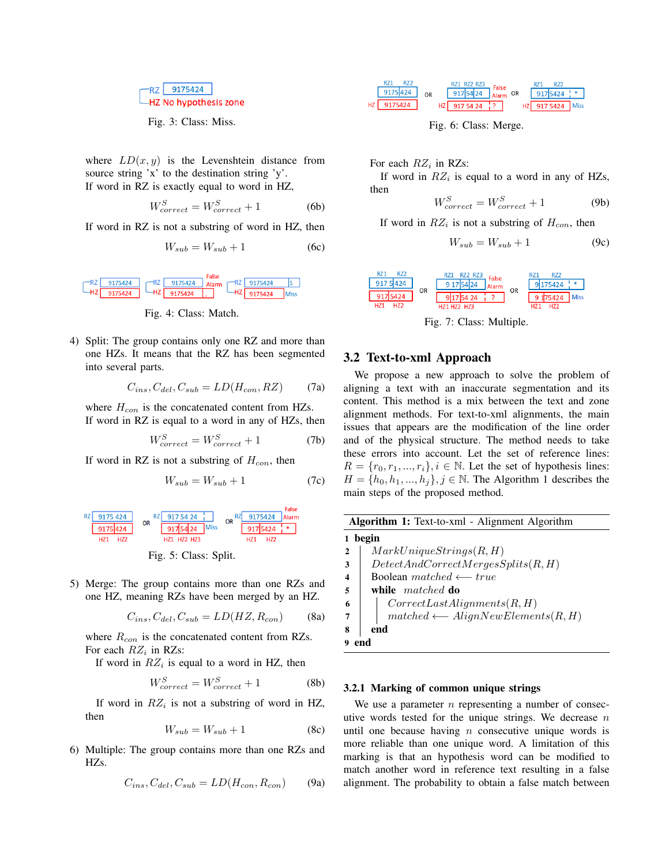RZ 9175424 HZ No hypothesis zone

Fig. 3: Class: Miss.

where  $LD(x, y)$  is the Levenshtein distance from source string 'x' to the destination string 'y'. If word in RZ is exactly equal to word in HZ,

$$
W_{correct}^{S} = W_{correct}^{S} + 1
$$
 (6b)

If word in RZ is not a substring of word in HZ, then

$$
W_{sub} = W_{sub} + 1 \tag{6c}
$$



Fig. 4: Class: Match.

4) Split: The group contains only one RZ and more than one HZs. It means that the RZ has been segmented into several parts.

$$
C_{ins}, C_{del}, C_{sub} = LD(H_{con}, RZ)
$$
 (7a)

where  $H_{con}$  is the concatenated content from HZs. If word in RZ is equal to a word in any of HZs, then

$$
W_{correct}^{S} = W_{correct}^{S} + 1
$$
 (7b)

If word in RZ is not a substring of  $H_{con}$ , then

$$
W_{sub} = W_{sub} + 1 \tag{7c}
$$

| RZ      | 9175 424 | False | RZ       | 91754 24 |    |       |         |       |
|---------|----------|-------|----------|----------|----|-------|---------|-------|
| 9175424 | OR       | $82$  | 91754 24 | Miss     | OR | $82$  | 9175424 | Alarn |
| HZ1     | HZ2      | HZ2   | HZ3      | WS       | OR | $917$ | 5424    | **    |
| HZ1     | HZ2      | HZ3   | HZ1      | HZ2      |    |       |         |       |

Fig. 5: Class: Split.

5) Merge: The group contains more than one RZs and one HZ, meaning RZs have been merged by an HZ.

$$
C_{ins}, C_{del}, C_{sub} = LD(HZ, R_{con})
$$
 (8a)

where  $R_{con}$  is the concatenated content from RZs. For each  $RZ_i$  in RZs:

If word in  $RZ_i$  is equal to a word in HZ, then

$$
W_{correct}^{S} = W_{correct}^{S} + 1
$$
 (8b)

If word in  $RZ_i$  is not a substring of word in HZ, then

$$
W_{sub} = W_{sub} + 1 \tag{8c}
$$

6) Multiple: The group contains more than one RZs and HZ<sub>s</sub>.

$$
C_{ins}, C_{del}, C_{sub} = LD(H_{con}, R_{con})
$$
 (9a)



Fig. 6: Class: Merge.

For each  $RZ_i$  in RZs: If word in  $RZ_i$  is equal to a word in any of HZs, then

$$
W_{correct}^{S} = W_{correct}^{S} + 1
$$
 (9b)

If word in  $RZ_i$  is not a substring of  $H_{con}$ , then

$$
W_{sub} = W_{sub} + 1 \tag{9c}
$$

Fig. 7: Class: Multiple.

#### 3.2 Text-to-xml Approach

We propose a new approach to solve the problem of aligning a text with an inaccurate segmentation and its content. This method is a mix between the text and zone alignment methods. For text-to-xml alignments, the main issues that appears are the modification of the line order and of the physical structure. The method needs to take these errors into account. Let the set of reference lines:  $R = \{r_0, r_1, ..., r_i\}, i \in \mathbb{N}$ . Let the set of hypothesis lines:  $H = \{h_0, h_1, ..., h_j\}, j \in \mathbb{N}$ . The Algorithm 1 describes the main steps of the proposed method.

| <b>Algorithm 1:</b> Text-to-xml - Alignment Algorithm |                                                 |  |  |  |  |  |  |  |  |
|-------------------------------------------------------|-------------------------------------------------|--|--|--|--|--|--|--|--|
| $\mathbf{1}$                                          | begin                                           |  |  |  |  |  |  |  |  |
| $\overline{2}$                                        | MarkUniqueStrings(R, H)                         |  |  |  |  |  |  |  |  |
| 3                                                     | DetectAndCorrectMergesSplits(R, H)              |  |  |  |  |  |  |  |  |
| $\boldsymbol{4}$                                      | Boolean matched $\leftarrow$ true               |  |  |  |  |  |  |  |  |
| 5                                                     | while matched do                                |  |  |  |  |  |  |  |  |
| 6                                                     | CorrectLastAligments(R, H)                      |  |  |  |  |  |  |  |  |
| $\overline{7}$                                        | $matched \longleftarrow AlignNewElements(R, H)$ |  |  |  |  |  |  |  |  |
| 8                                                     | end                                             |  |  |  |  |  |  |  |  |
|                                                       | end                                             |  |  |  |  |  |  |  |  |
|                                                       |                                                 |  |  |  |  |  |  |  |  |

#### 3.2.1 Marking of common unique strings

We use a parameter  $n$  representing a number of consecutive words tested for the unique strings. We decrease  $n$ until one because having  $n$  consecutive unique words is more reliable than one unique word. A limitation of this marking is that an hypothesis word can be modified to match another word in reference text resulting in a false alignment. The probability to obtain a false match between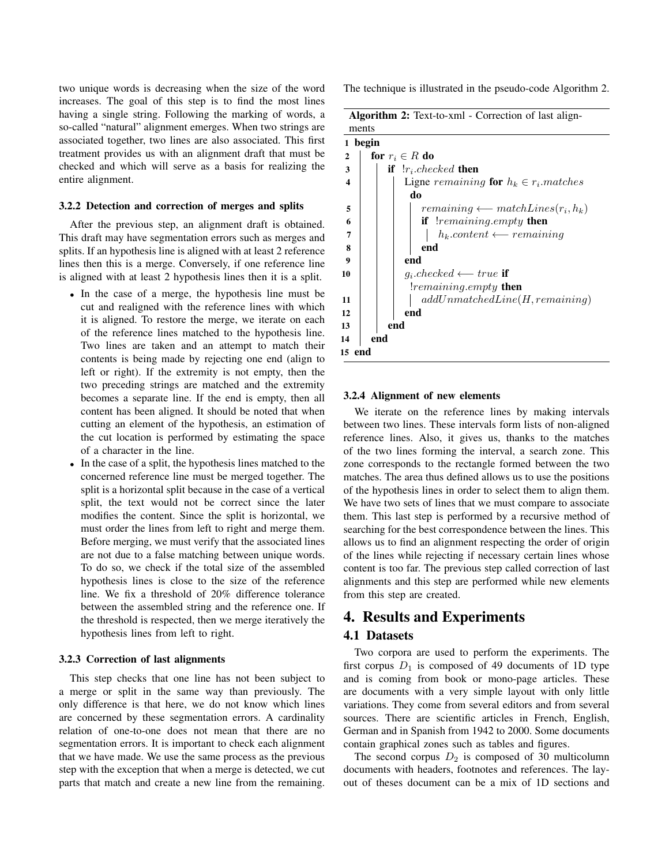two unique words is decreasing when the size of the word increases. The goal of this step is to find the most lines having a single string. Following the marking of words, a so-called "natural" alignment emerges. When two strings are associated together, two lines are also associated. This first treatment provides us with an alignment draft that must be checked and which will serve as a basis for realizing the entire alignment.

#### 3.2.2 Detection and correction of merges and splits

After the previous step, an alignment draft is obtained. This draft may have segmentation errors such as merges and splits. If an hypothesis line is aligned with at least 2 reference lines then this is a merge. Conversely, if one reference line is aligned with at least 2 hypothesis lines then it is a split.

- In the case of a merge, the hypothesis line must be cut and realigned with the reference lines with which it is aligned. To restore the merge, we iterate on each of the reference lines matched to the hypothesis line. Two lines are taken and an attempt to match their contents is being made by rejecting one end (align to left or right). If the extremity is not empty, then the two preceding strings are matched and the extremity becomes a separate line. If the end is empty, then all content has been aligned. It should be noted that when cutting an element of the hypothesis, an estimation of the cut location is performed by estimating the space of a character in the line.
- In the case of a split, the hypothesis lines matched to the concerned reference line must be merged together. The split is a horizontal split because in the case of a vertical split, the text would not be correct since the later modifies the content. Since the split is horizontal, we must order the lines from left to right and merge them. Before merging, we must verify that the associated lines are not due to a false matching between unique words. To do so, we check if the total size of the assembled hypothesis lines is close to the size of the reference line. We fix a threshold of 20% difference tolerance between the assembled string and the reference one. If the threshold is respected, then we merge iteratively the hypothesis lines from left to right.

#### 3.2.3 Correction of last alignments

This step checks that one line has not been subject to a merge or split in the same way than previously. The only difference is that here, we do not know which lines are concerned by these segmentation errors. A cardinality relation of one-to-one does not mean that there are no segmentation errors. It is important to check each alignment that we have made. We use the same process as the previous step with the exception that when a merge is detected, we cut parts that match and create a new line from the remaining. The technique is illustrated in the pseudo-code Algorithm 2.

| Algorithm 2: Text-to-xml - Correction of last align- |  |
|------------------------------------------------------|--|
| ments                                                |  |

| $\mathbf{1}$   | begin                                           |
|----------------|-------------------------------------------------|
| $\overline{2}$ | for $r_i \in R$ do                              |
| 3              | <b>if</b> $!r_i$ checked <b>then</b>            |
| 4              | Ligne remaining for $h_k \in r_i$ matches       |
|                | do                                              |
| 5              | $remaining \longleftarrow matchLines(r_i, h_k)$ |
| 6              | <b>if</b> <i>!remaining.empty</i> <b>then</b>   |
| 7              | $h_k$ .content $\longleftarrow$ remaining       |
| 8              | end                                             |
| 9              | end                                             |
| 10             | $g_i$ .checked $\longleftarrow$ true if         |
|                | remaining.empty then                            |
| 11             | addUnmatchedLine(H, remaining)                  |
| 12             | end                                             |
| 13             | end                                             |
| 14             | end                                             |
| 15 end         |                                                 |

#### 3.2.4 Alignment of new elements

We iterate on the reference lines by making intervals between two lines. These intervals form lists of non-aligned reference lines. Also, it gives us, thanks to the matches of the two lines forming the interval, a search zone. This zone corresponds to the rectangle formed between the two matches. The area thus defined allows us to use the positions of the hypothesis lines in order to select them to align them. We have two sets of lines that we must compare to associate them. This last step is performed by a recursive method of searching for the best correspondence between the lines. This allows us to find an alignment respecting the order of origin of the lines while rejecting if necessary certain lines whose content is too far. The previous step called correction of last alignments and this step are performed while new elements from this step are created.

## 4. Results and Experiments

#### 4.1 Datasets

Two corpora are used to perform the experiments. The first corpus  $D_1$  is composed of 49 documents of 1D type and is coming from book or mono-page articles. These are documents with a very simple layout with only little variations. They come from several editors and from several sources. There are scientific articles in French, English, German and in Spanish from 1942 to 2000. Some documents contain graphical zones such as tables and figures.

The second corpus  $D_2$  is composed of 30 multicolumn documents with headers, footnotes and references. The layout of theses document can be a mix of 1D sections and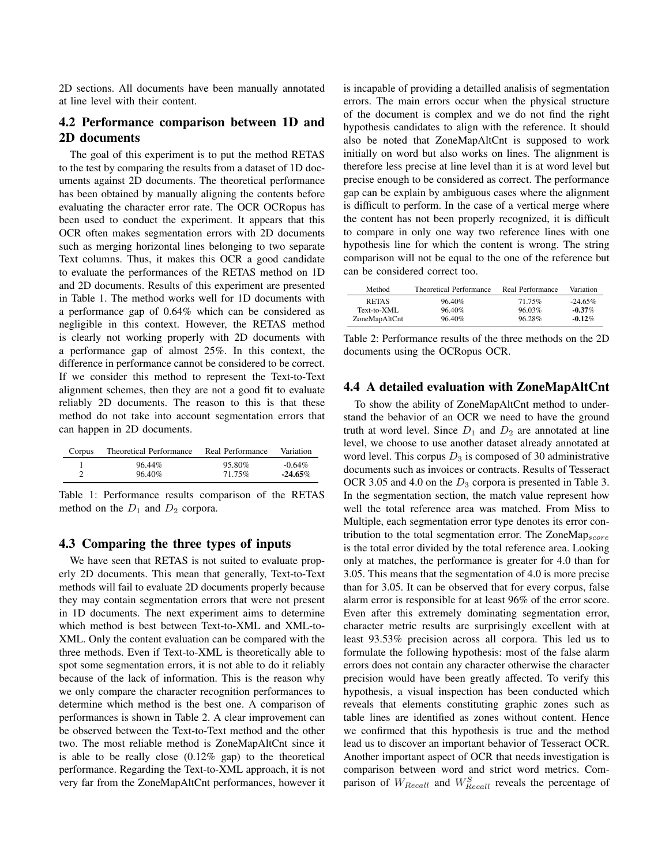2D sections. All documents have been manually annotated at line level with their content.

## 4.2 Performance comparison between 1D and 2D documents

The goal of this experiment is to put the method RETAS to the test by comparing the results from a dataset of 1D documents against 2D documents. The theoretical performance has been obtained by manually aligning the contents before evaluating the character error rate. The OCR OCRopus has been used to conduct the experiment. It appears that this OCR often makes segmentation errors with 2D documents such as merging horizontal lines belonging to two separate Text columns. Thus, it makes this OCR a good candidate to evaluate the performances of the RETAS method on 1D and 2D documents. Results of this experiment are presented in Table 1. The method works well for 1D documents with a performance gap of 0.64% which can be considered as negligible in this context. However, the RETAS method is clearly not working properly with 2D documents with a performance gap of almost 25%. In this context, the difference in performance cannot be considered to be correct. If we consider this method to represent the Text-to-Text alignment schemes, then they are not a good fit to evaluate reliably 2D documents. The reason to this is that these method do not take into account segmentation errors that can happen in 2D documents.

| Corpus | Theoretical Performance | Real Performance | Variation  |
|--------|-------------------------|------------------|------------|
|        | 96.44%                  | 95.80%           | $-0.64\%$  |
|        | 96.40%                  | 71.75%           | $-24.65\%$ |

Table 1: Performance results comparison of the RETAS method on the  $D_1$  and  $D_2$  corpora.

#### 4.3 Comparing the three types of inputs

We have seen that RETAS is not suited to evaluate properly 2D documents. This mean that generally, Text-to-Text methods will fail to evaluate 2D documents properly because they may contain segmentation errors that were not present in 1D documents. The next experiment aims to determine which method is best between Text-to-XML and XML-to-XML. Only the content evaluation can be compared with the three methods. Even if Text-to-XML is theoretically able to spot some segmentation errors, it is not able to do it reliably because of the lack of information. This is the reason why we only compare the character recognition performances to determine which method is the best one. A comparison of performances is shown in Table 2. A clear improvement can be observed between the Text-to-Text method and the other two. The most reliable method is ZoneMapAltCnt since it is able to be really close (0.12% gap) to the theoretical performance. Regarding the Text-to-XML approach, it is not very far from the ZoneMapAltCnt performances, however it is incapable of providing a detailled analisis of segmentation errors. The main errors occur when the physical structure of the document is complex and we do not find the right hypothesis candidates to align with the reference. It should also be noted that ZoneMapAltCnt is supposed to work initially on word but also works on lines. The alignment is therefore less precise at line level than it is at word level but precise enough to be considered as correct. The performance gap can be explain by ambiguous cases where the alignment is difficult to perform. In the case of a vertical merge where the content has not been properly recognized, it is difficult to compare in only one way two reference lines with one hypothesis line for which the content is wrong. The string comparison will not be equal to the one of the reference but can be considered correct too.

| Method        | <b>Theoretical Performance</b> | Real Performance | Variation  |
|---------------|--------------------------------|------------------|------------|
| <b>RETAS</b>  | 96.40%                         | 71.75%           | $-24.65\%$ |
| Text-to-XML   | 96.40%                         | 96.03%           | $-0.37\%$  |
| ZoneMapAltCnt | 96.40%                         | 96.28%           | $-0.12\%$  |

Table 2: Performance results of the three methods on the 2D documents using the OCRopus OCR.

#### 4.4 A detailed evaluation with ZoneMapAltCnt

To show the ability of ZoneMapAltCnt method to understand the behavior of an OCR we need to have the ground truth at word level. Since  $D_1$  and  $D_2$  are annotated at line level, we choose to use another dataset already annotated at word level. This corpus  $D_3$  is composed of 30 administrative documents such as invoices or contracts. Results of Tesseract OCR 3.05 and 4.0 on the  $D_3$  corpora is presented in Table 3. In the segmentation section, the match value represent how well the total reference area was matched. From Miss to Multiple, each segmentation error type denotes its error contribution to the total segmentation error. The ZoneMap $_{score}$ is the total error divided by the total reference area. Looking only at matches, the performance is greater for 4.0 than for 3.05. This means that the segmentation of 4.0 is more precise than for 3.05. It can be observed that for every corpus, false alarm error is responsible for at least 96% of the error score. Even after this extremely dominating segmentation error, character metric results are surprisingly excellent with at least 93.53% precision across all corpora. This led us to formulate the following hypothesis: most of the false alarm errors does not contain any character otherwise the character precision would have been greatly affected. To verify this hypothesis, a visual inspection has been conducted which reveals that elements constituting graphic zones such as table lines are identified as zones without content. Hence we confirmed that this hypothesis is true and the method lead us to discover an important behavior of Tesseract OCR. Another important aspect of OCR that needs investigation is comparison between word and strict word metrics. Comparison of  $W_{Recall}$  and  $W_{Recall}^S$  reveals the percentage of